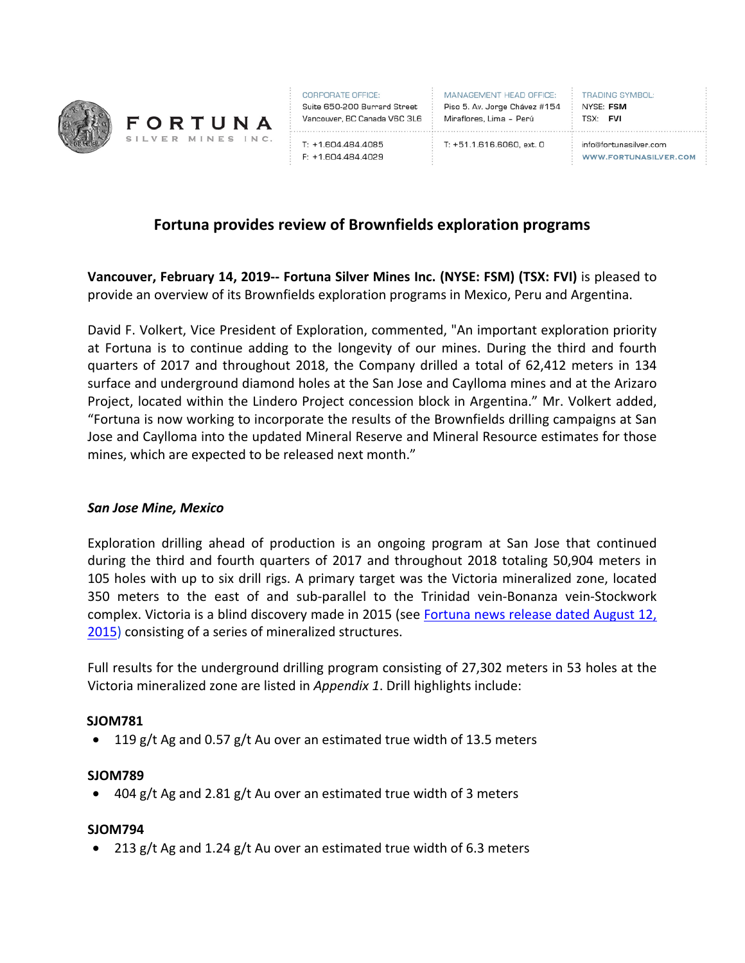

CORPORATE OFFICE: Suite 650-200 Burrard Street Vancouver, BC Canada V6C 3L6 Miraflores, Lima - Perú

T: +1.604.484.4085

F: +1.604.484.4029

MANAGEMENT HEAD OFFICE: Piso 5. Av. Jorge Chávez #154 

**TRADING SYMBOL:** NYSE: FSM TSX: FVI

T: +51.1.616.6060, ext. 0

info@fortunasilver.com **WWW.FORTUNASILVER.COM** 

# **Fortuna provides review of Brownfields exploration programs**

**Vancouver, February 14, 2019-- Fortuna Silver Mines Inc. (NYSE: FSM) (TSX: FVI)** is pleased to provide an overview of its Brownfields exploration programs in Mexico, Peru and Argentina.

David F. Volkert, Vice President of Exploration, commented, "An important exploration priority at Fortuna is to continue adding to the longevity of our mines. During the third and fourth quarters of 2017 and throughout 2018, the Company drilled a total of 62,412 meters in 134 surface and underground diamond holes at the San Jose and Caylloma mines and at the Arizaro Project, located within the Lindero Project concession block in Argentina." Mr. Volkert added, "Fortuna is now working to incorporate the results of the Brownfields drilling campaigns at San Jose and Caylloma into the updated Mineral Reserve and Mineral Resource estimates for those mines, which are expected to be released next month."

#### *San Jose Mine, Mexico*

Exploration drilling ahead of production is an ongoing program at San Jose that continued during the third and fourth quarters of 2017 and throughout 2018 totaling 50,904 meters in 105 holes with up to six drill rigs. A primary target was the Victoria mineralized zone, located 350 meters to the east of and sub-parallel to the Trinidad vein-Bonanza vein-Stockwork complex. Victoria is a blind discovery made in 2015 (see Fortuna news release dated August 12, [2015\)](https://fortunasilver.com/site/assets/files/3059/2015-08-12_nr.pdf) consisting of a series of mineralized structures.

Full results for the underground drilling program consisting of 27,302 meters in 53 holes at the Victoria mineralized zone are listed in *Appendix 1*. Drill highlights include:

#### **SJOM781**

• 119 g/t Ag and 0.57 g/t Au over an estimated true width of 13.5 meters

#### **SJOM789**

404 g/t Ag and 2.81 g/t Au over an estimated true width of 3 meters

### **SJOM794**

• 213 g/t Ag and 1.24 g/t Au over an estimated true width of 6.3 meters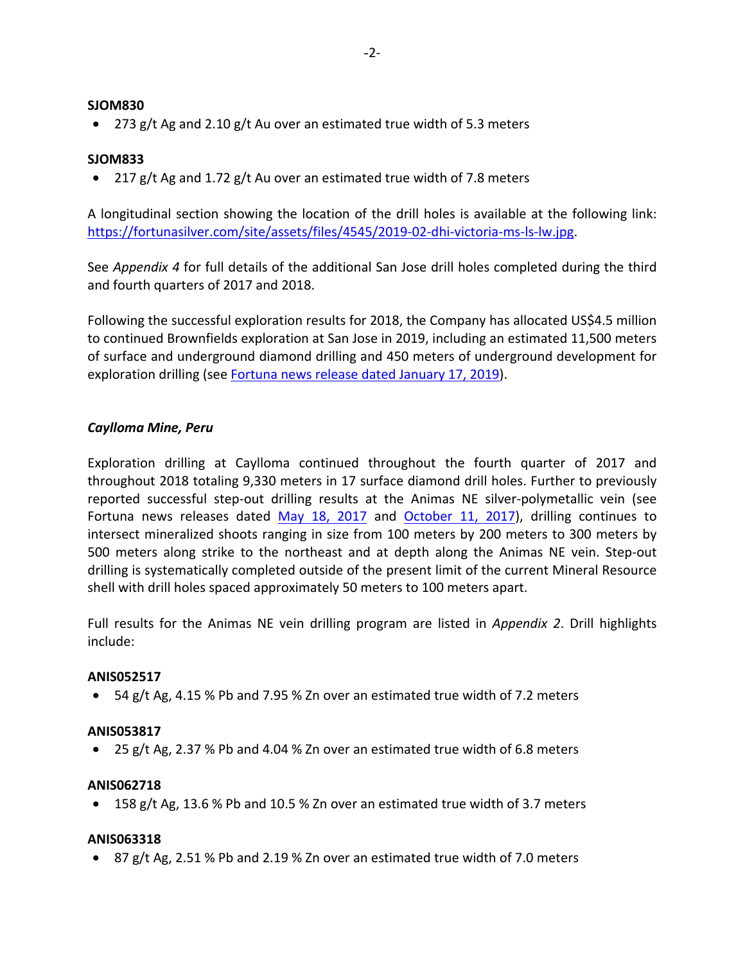### **SJOM830**

• 273 g/t Ag and 2.10 g/t Au over an estimated true width of 5.3 meters

# **SJOM833**

• 217 g/t Ag and 1.72 g/t Au over an estimated true width of 7.8 meters

A longitudinal section showing the location of the drill holes is available at the following link: [https://fortunasilver.com/site/assets/files/4545/2019-02-dhi-victoria-ms-ls-lw.jpg.](https://fortunasilver.com/site/assets/files/4545/2019-02-dhi-victoria-ms-ls-lw.jpg)

See *Appendix 4* for full details of the additional San Jose drill holes completed during the third and fourth quarters of 2017 and 2018.

Following the successful exploration results for 2018, the Company has allocated US\$4.5 million to continued Brownfields exploration at San Jose in 2019, including an estimated 11,500 meters of surface and underground diamond drilling and 450 meters of underground development for exploration drilling (see [Fortuna news release dated January 17, 2019\)](https://fortunasilver.com/site/assets/files/4508/adnet_fortuna_reports_2018_full_year_production_of_12.pdf).

## *Caylloma Mine, Peru*

Exploration drilling at Caylloma continued throughout the fourth quarter of 2017 and throughout 2018 totaling 9,330 meters in 17 surface diamond drill holes. Further to previously reported successful step-out drilling results at the Animas NE silver-polymetallic vein (see Fortuna news releases dated [May 18, 2017](https://fortunasilver.com/site/assets/files/4070/2017-05-18-nr-fvi.pdf) and [October 11, 2017\)](https://fortunasilver.com/site/assets/files/4106/adnet_fortuna_provides_brownfields_and_greenfields_exp.pdf), drilling continues to intersect mineralized shoots ranging in size from 100 meters by 200 meters to 300 meters by 500 meters along strike to the northeast and at depth along the Animas NE vein. Step-out drilling is systematically completed outside of the present limit of the current Mineral Resource shell with drill holes spaced approximately 50 meters to 100 meters apart.

Full results for the Animas NE vein drilling program are listed in *Appendix 2*. Drill highlights include:

#### **ANIS052517**

• 54 g/t Ag, 4.15 % Pb and 7.95 % Zn over an estimated true width of 7.2 meters

#### **ANIS053817**

• 25 g/t Ag, 2.37 % Pb and 4.04 % Zn over an estimated true width of 6.8 meters

#### **ANIS062718**

• 158 g/t Ag, 13.6 % Pb and 10.5 % Zn over an estimated true width of 3.7 meters

#### **ANIS063318**

• 87 g/t Ag, 2.51 % Pb and 2.19 % Zn over an estimated true width of 7.0 meters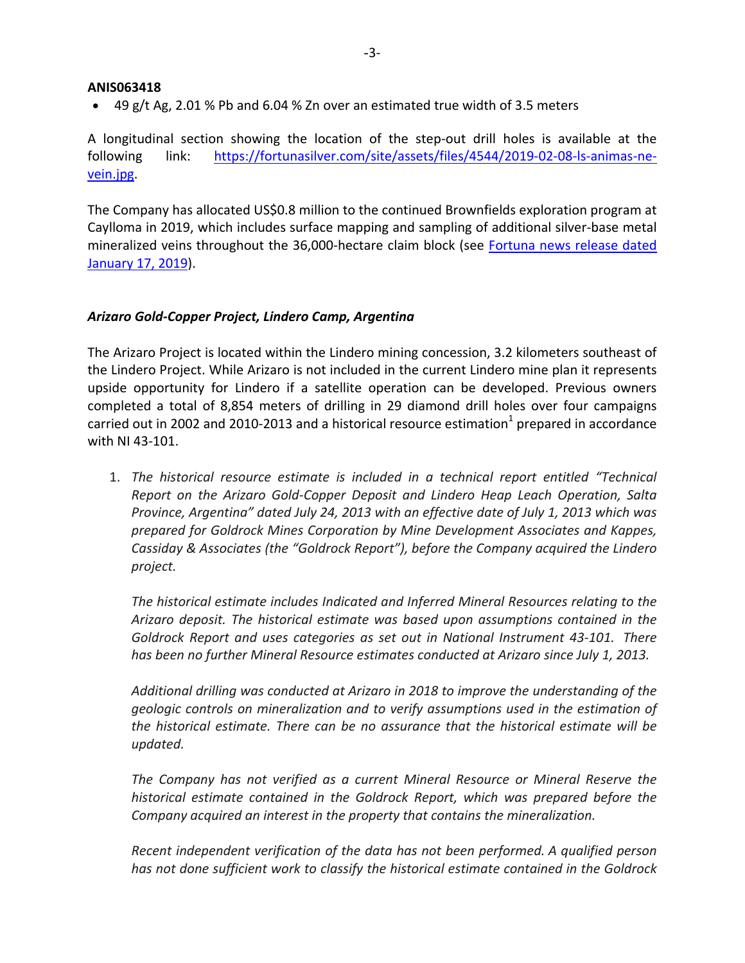## **ANIS063418**

• 49 g/t Ag, 2.01 % Pb and 6.04 % Zn over an estimated true width of 3.5 meters

A longitudinal section showing the location of the step-out drill holes is available at the following link: [https://fortunasilver.com/site/assets/files/4544/2019-02-08-ls-animas-ne](https://fortunasilver.com/site/assets/files/4544/2019-02-08-ls-animas-ne-vein.jpg)[vein.jpg.](https://fortunasilver.com/site/assets/files/4544/2019-02-08-ls-animas-ne-vein.jpg)

The Company has allocated US\$0.8 million to the continued Brownfields exploration program at Caylloma in 2019, which includes surface mapping and sampling of additional silver-base metal mineralized veins throughout the 36,000-hectare claim block (see [Fortuna news release dated](https://fortunasilver.com/site/assets/files/4508/adnet_fortuna_reports_2018_full_year_production_of_12.pdf)  [January 17, 2019\)](https://fortunasilver.com/site/assets/files/4508/adnet_fortuna_reports_2018_full_year_production_of_12.pdf).

## *Arizaro Gold-Copper Project, Lindero Camp, Argentina*

The Arizaro Project is located within the Lindero mining concession, 3.2 kilometers southeast of the Lindero Project. While Arizaro is not included in the current Lindero mine plan it represents upside opportunity for Lindero if a satellite operation can be developed. Previous owners completed a total of 8,854 meters of drilling in 29 diamond drill holes over four campaigns carried out in 2002 and 2010-2013 and a historical resource estimation<sup>1</sup> prepared in accordance with NI 43-101.

1. *The historical resource estimate is included in a technical report entitled "Technical Report on the Arizaro Gold-Copper Deposit and Lindero Heap Leach Operation, Salta Province, Argentina" dated July 24, 2013 with an effective date of July 1, 2013 which was prepared for Goldrock Mines Corporation by Mine Development Associates and Kappes, Cassiday & Associates (the "Goldrock Report"), before the Company acquired the Lindero project.*

*The historical estimate includes Indicated and Inferred Mineral Resources relating to the Arizaro deposit. The historical estimate was based upon assumptions contained in the Goldrock Report and uses categories as set out in National Instrument 43-101. There has been no further Mineral Resource estimates conducted at Arizaro since July 1, 2013.*

*Additional drilling was conducted at Arizaro in 2018 to improve the understanding of the geologic controls on mineralization and to verify assumptions used in the estimation of the historical estimate. There can be no assurance that the historical estimate will be updated.*

*The Company has not verified as a current Mineral Resource or Mineral Reserve the historical estimate contained in the Goldrock Report, which was prepared before the Company acquired an interest in the property that contains the mineralization.*

*Recent independent verification of the data has not been performed. A qualified person has not done sufficient work to classify the historical estimate contained in the Goldrock*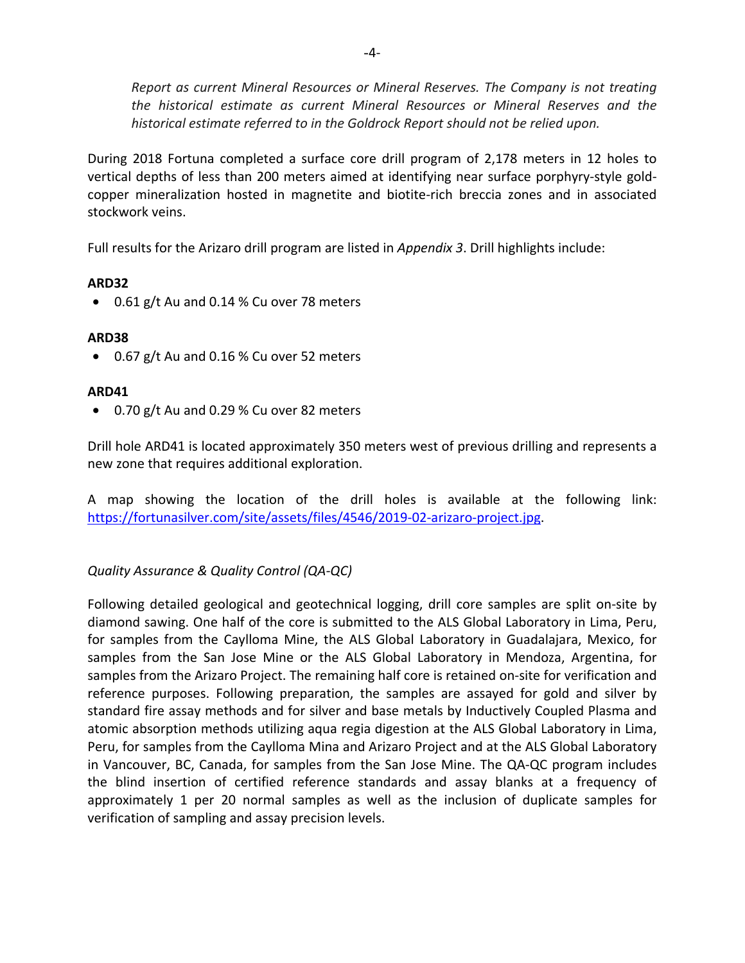*Report as current Mineral Resources or Mineral Reserves. The Company is not treating the historical estimate as current Mineral Resources or Mineral Reserves and the historical estimate referred to in the Goldrock Report should not be relied upon.*

During 2018 Fortuna completed a surface core drill program of 2,178 meters in 12 holes to vertical depths of less than 200 meters aimed at identifying near surface porphyry-style goldcopper mineralization hosted in magnetite and biotite-rich breccia zones and in associated stockwork veins.

Full results for the Arizaro drill program are listed in *Appendix 3*. Drill highlights include:

# **ARD32**

• 0.61 g/t Au and 0.14 % Cu over 78 meters

# **ARD38**

• 0.67 g/t Au and 0.16 % Cu over 52 meters

# **ARD41**

• 0.70 g/t Au and 0.29 % Cu over 82 meters

Drill hole ARD41 is located approximately 350 meters west of previous drilling and represents a new zone that requires additional exploration.

A map showing the location of the drill holes is available at the following link: [https://fortunasilver.com/site/assets/files/4546/2019-02-arizaro-project.jpg.](https://fortunasilver.com/site/assets/files/4546/2019-02-arizaro-project.jpg)

# *Quality Assurance & Quality Control (QA-QC)*

Following detailed geological and geotechnical logging, drill core samples are split on-site by diamond sawing. One half of the core is submitted to the ALS Global Laboratory in Lima, Peru, for samples from the Caylloma Mine, the ALS Global Laboratory in Guadalajara, Mexico, for samples from the San Jose Mine or the ALS Global Laboratory in Mendoza, Argentina, for samples from the Arizaro Project. The remaining half core is retained on-site for verification and reference purposes. Following preparation, the samples are assayed for gold and silver by standard fire assay methods and for silver and base metals by Inductively Coupled Plasma and atomic absorption methods utilizing aqua regia digestion at the ALS Global Laboratory in Lima, Peru, for samples from the Caylloma Mina and Arizaro Project and at the ALS Global Laboratory in Vancouver, BC, Canada, for samples from the San Jose Mine. The QA-QC program includes the blind insertion of certified reference standards and assay blanks at a frequency of approximately 1 per 20 normal samples as well as the inclusion of duplicate samples for verification of sampling and assay precision levels.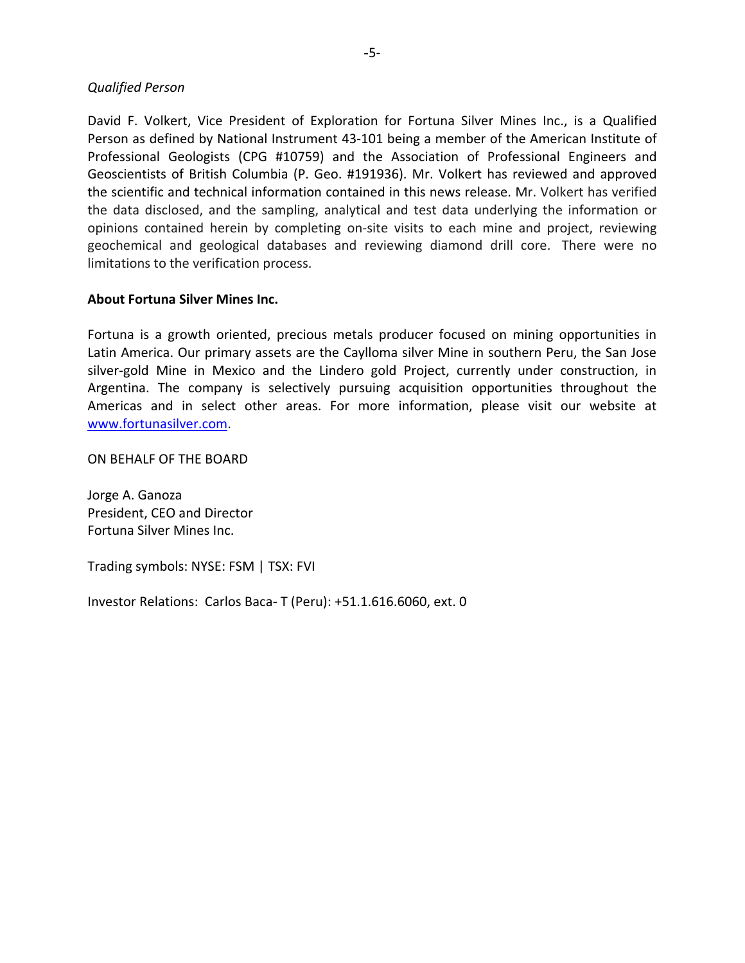# *Qualified Person*

David F. Volkert, Vice President of Exploration for Fortuna Silver Mines Inc., is a Qualified Person as defined by National Instrument 43-101 being a member of the American Institute of Professional Geologists (CPG #10759) and the Association of Professional Engineers and Geoscientists of British Columbia (P. Geo. #191936). Mr. Volkert has reviewed and approved the scientific and technical information contained in this news release. Mr. Volkert has verified the data disclosed, and the sampling, analytical and test data underlying the information or opinions contained herein by completing on-site visits to each mine and project, reviewing geochemical and geological databases and reviewing diamond drill core. There were no limitations to the verification process.

## **About Fortuna Silver Mines Inc.**

Fortuna is a growth oriented, precious metals producer focused on mining opportunities in Latin America. Our primary assets are the Caylloma silver Mine in southern Peru, the San Jose silver-gold Mine in Mexico and the Lindero gold Project, currently under construction, in Argentina. The company is selectively pursuing acquisition opportunities throughout the Americas and in select other areas. For more information, please visit our website at [www.fortunasilver.com.](http://www.fortunasilver.com/)

ON BEHALF OF THE BOARD

Jorge A. Ganoza President, CEO and Director Fortuna Silver Mines Inc.

Trading symbols: NYSE: FSM | TSX: FVI

Investor Relations: Carlos Baca- T (Peru): +51.1.616.6060, ext. 0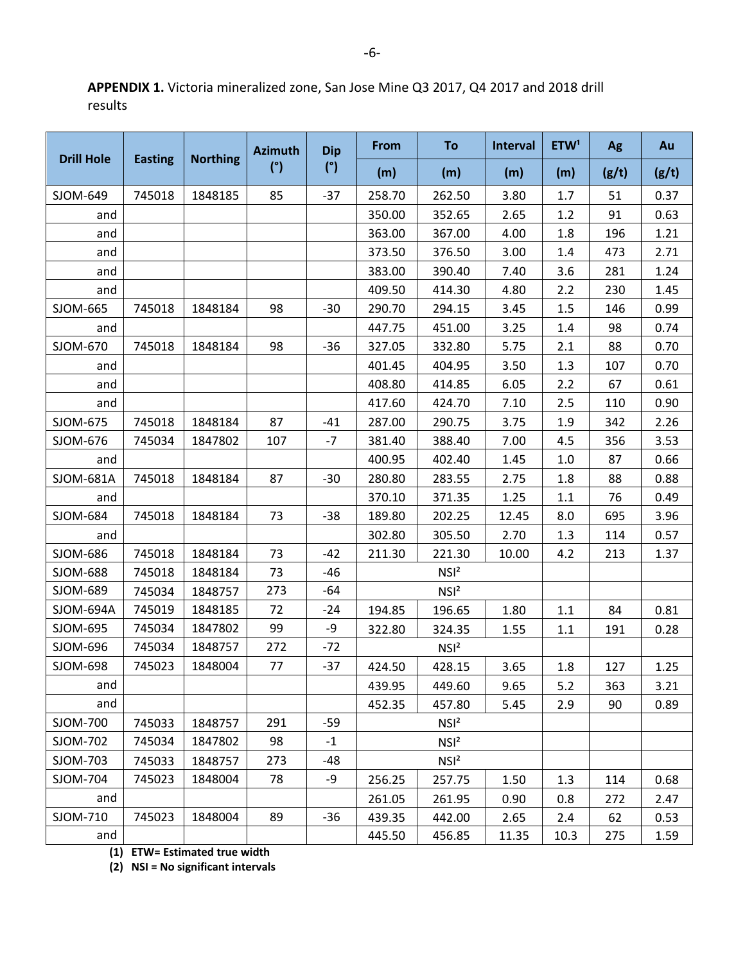**APPENDIX 1.** Victoria mineralized zone, San Jose Mine Q3 2017, Q4 2017 and 2018 drill results

|                   |                |                 | <b>Azimuth</b> | <b>Dip</b> | From   | To               | <b>Interval</b> | ETW <sup>1</sup> | Ag    | Au    |
|-------------------|----------------|-----------------|----------------|------------|--------|------------------|-----------------|------------------|-------|-------|
| <b>Drill Hole</b> | <b>Easting</b> | <b>Northing</b> | (°)            | (°)        | (m)    | (m)              | (m)             | (m)              | (g/t) | (g/t) |
| SJOM-649          | 745018         | 1848185         | 85             | $-37$      | 258.70 | 262.50           | 3.80            | 1.7              | 51    | 0.37  |
| and               |                |                 |                |            | 350.00 | 352.65           | 2.65            | 1.2              | 91    | 0.63  |
| and               |                |                 |                |            | 363.00 | 367.00           | 4.00            | 1.8              | 196   | 1.21  |
| and               |                |                 |                |            | 373.50 | 376.50           | 3.00            | 1.4              | 473   | 2.71  |
| and               |                |                 |                |            | 383.00 | 390.40           | 7.40            | 3.6              | 281   | 1.24  |
| and               |                |                 |                |            | 409.50 | 414.30           | 4.80            | 2.2              | 230   | 1.45  |
| SJOM-665          | 745018         | 1848184         | 98             | $-30$      | 290.70 | 294.15           | 3.45            | 1.5              | 146   | 0.99  |
| and               |                |                 |                |            | 447.75 | 451.00           | 3.25            | 1.4              | 98    | 0.74  |
| SJOM-670          | 745018         | 1848184         | 98             | $-36$      | 327.05 | 332.80           | 5.75            | 2.1              | 88    | 0.70  |
| and               |                |                 |                |            | 401.45 | 404.95           | 3.50            | 1.3              | 107   | 0.70  |
| and               |                |                 |                |            | 408.80 | 414.85           | 6.05            | 2.2              | 67    | 0.61  |
| and               |                |                 |                |            | 417.60 | 424.70           | 7.10            | 2.5              | 110   | 0.90  |
| SJOM-675          | 745018         | 1848184         | 87             | -41        | 287.00 | 290.75           | 3.75            | 1.9              | 342   | 2.26  |
| SJOM-676          | 745034         | 1847802         | 107            | $-7$       | 381.40 | 388.40           | 7.00            | 4.5              | 356   | 3.53  |
| and               |                |                 |                |            | 400.95 | 402.40           | 1.45            | 1.0              | 87    | 0.66  |
| SJOM-681A         | 745018         | 1848184         | 87             | $-30$      | 280.80 | 283.55           | 2.75            | 1.8              | 88    | 0.88  |
| and               |                |                 |                |            | 370.10 | 371.35           | 1.25            | 1.1              | 76    | 0.49  |
| SJOM-684          | 745018         | 1848184         | 73             | $-38$      | 189.80 | 202.25           | 12.45           | 8.0              | 695   | 3.96  |
| and               |                |                 |                |            | 302.80 | 305.50           | 2.70            | 1.3              | 114   | 0.57  |
| SJOM-686          | 745018         | 1848184         | 73             | -42        | 211.30 | 221.30           | 10.00           | 4.2              | 213   | 1.37  |
| SJOM-688          | 745018         | 1848184         | 73             | -46        |        | NSI <sup>2</sup> |                 |                  |       |       |
| SJOM-689          | 745034         | 1848757         | 273            | -64        |        | NSI <sup>2</sup> |                 |                  |       |       |
| SJOM-694A         | 745019         | 1848185         | 72             | -24        | 194.85 | 196.65           | 1.80            | 1.1              | 84    | 0.81  |
| SJOM-695          | 745034         | 1847802         | 99             | -9         | 322.80 | 324.35           | 1.55            | 1.1              | 191   | 0.28  |
| SJOM-696          | 745034         | 1848757         | 272            | $-72$      |        | NSI <sup>2</sup> |                 |                  |       |       |
| SJOM-698          | 745023         | 1848004         | 77             | $-37$      | 424.50 | 428.15           | 3.65            | 1.8              | 127   | 1.25  |
| and               |                |                 |                |            | 439.95 | 449.60           | 9.65            | 5.2              | 363   | 3.21  |
| and               |                |                 |                |            | 452.35 | 457.80           | 5.45            | 2.9              | 90    | 0.89  |
| SJOM-700          | 745033         | 1848757         | 291            | $-59$      |        | NSI <sup>2</sup> |                 |                  |       |       |
| SJOM-702          | 745034         | 1847802         | 98             | $-1$       |        | NSI <sup>2</sup> |                 |                  |       |       |
| SJOM-703          | 745033         | 1848757         | 273            | -48        |        | NSI <sup>2</sup> |                 |                  |       |       |
| SJOM-704          | 745023         | 1848004         | 78             | -9         | 256.25 | 257.75           | 1.50            | 1.3              | 114   | 0.68  |
| and               |                |                 |                |            | 261.05 | 261.95           | 0.90            | 0.8              | 272   | 2.47  |
| SJOM-710          | 745023         | 1848004         | 89             | $-36$      | 439.35 | 442.00           | 2.65            | 2.4              | 62    | 0.53  |
| and               |                |                 |                |            | 445.50 | 456.85           | 11.35           | 10.3             | 275   | 1.59  |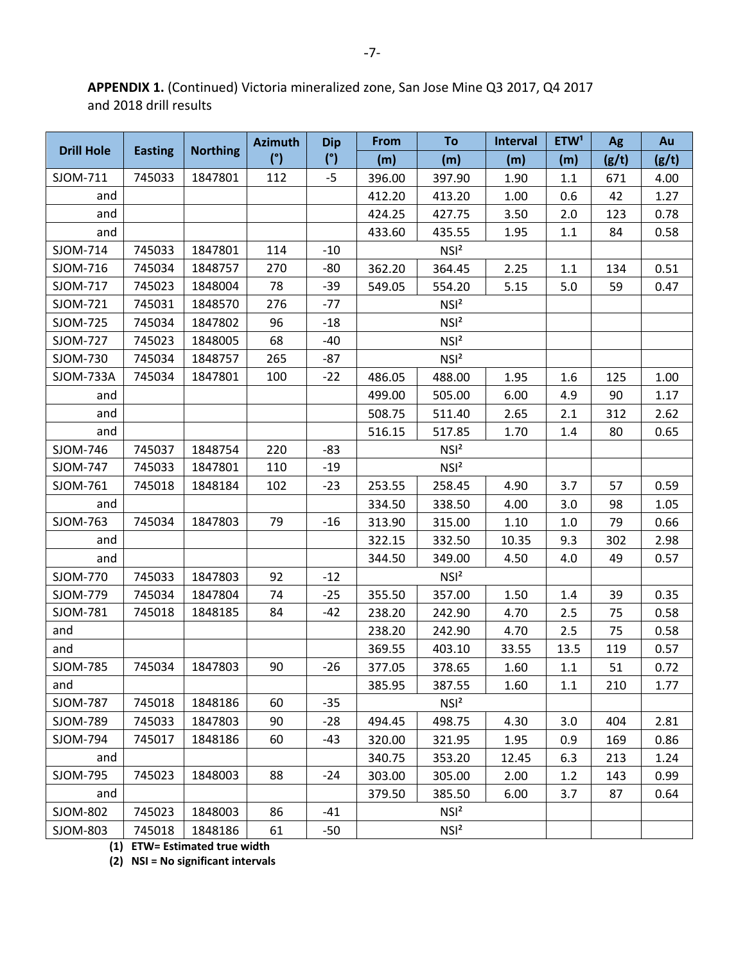**APPENDIX 1.** (Continued) Victoria mineralized zone, San Jose Mine Q3 2017, Q4 2017 and 2018 drill results

| <b>Drill Hole</b> |                |                 | <b>Azimuth</b> | <b>Dip</b> | <b>From</b>      | To               | Interval | ETW <sup>1</sup> | Ag    | Au    |
|-------------------|----------------|-----------------|----------------|------------|------------------|------------------|----------|------------------|-------|-------|
|                   | <b>Easting</b> | <b>Northing</b> | (°)            | (°)        | (m)              | (m)              | (m)      | (m)              | (g/t) | (g/t) |
| SJOM-711          | 745033         | 1847801         | 112            | $-5$       | 396.00           | 397.90           | 1.90     | 1.1              | 671   | 4.00  |
| and               |                |                 |                |            | 412.20           | 413.20           | 1.00     | 0.6              | 42    | 1.27  |
| and               |                |                 |                |            | 424.25           | 427.75           | 3.50     | 2.0              | 123   | 0.78  |
| and               |                |                 |                |            | 433.60           | 435.55           | 1.95     | 1.1              | 84    | 0.58  |
| SJOM-714          | 745033         | 1847801         | 114            | $-10$      |                  | NSI <sup>2</sup> |          |                  |       |       |
| SJOM-716          | 745034         | 1848757         | 270            | $-80$      | 362.20           | 364.45           | 2.25     | 1.1              | 134   | 0.51  |
| SJOM-717          | 745023         | 1848004         | 78             | $-39$      | 549.05           | 554.20           | 5.15     | 5.0              | 59    | 0.47  |
| SJOM-721          | 745031         | 1848570         | 276            | $-77$      |                  | NSI <sup>2</sup> |          |                  |       |       |
| SJOM-725          | 745034         | 1847802         | 96             | $-18$      |                  | NSI <sup>2</sup> |          |                  |       |       |
| SJOM-727          | 745023         | 1848005         | 68             | $-40$      |                  | NSI <sup>2</sup> |          |                  |       |       |
| SJOM-730          | 745034         | 1848757         | 265            | $-87$      |                  | NSI <sup>2</sup> |          |                  |       |       |
| SJOM-733A         | 745034         | 1847801         | 100            | $-22$      | 486.05           | 488.00           | 1.95     | 1.6              | 125   | 1.00  |
| and               |                |                 |                |            | 499.00           | 505.00           | 6.00     | 4.9              | 90    | 1.17  |
| and               |                |                 |                |            | 508.75           | 511.40           | 2.65     | 2.1              | 312   | 2.62  |
| and               |                |                 |                |            | 516.15           | 517.85           | 1.70     | 1.4              | 80    | 0.65  |
| SJOM-746          | 745037         | 1848754         | 220            | $-83$      |                  | NSI <sup>2</sup> |          |                  |       |       |
| SJOM-747          | 745033         | 1847801         | 110            | $-19$      | NSI <sup>2</sup> |                  |          |                  |       |       |
| SJOM-761          | 745018         | 1848184         | 102            | $-23$      | 253.55           | 258.45           | 4.90     | 3.7              | 57    | 0.59  |
| and               |                |                 |                |            | 334.50           | 338.50           | 4.00     | 3.0              | 98    | 1.05  |
| SJOM-763          | 745034         | 1847803         | 79             | $-16$      | 313.90           | 315.00           | 1.10     | 1.0              | 79    | 0.66  |
| and               |                |                 |                |            | 322.15           | 332.50           | 10.35    | 9.3              | 302   | 2.98  |
| and               |                |                 |                |            | 344.50           | 349.00           | 4.50     | 4.0              | 49    | 0.57  |
| SJOM-770          | 745033         | 1847803         | 92             | $-12$      |                  | NSI <sup>2</sup> |          |                  |       |       |
| SJOM-779          | 745034         | 1847804         | 74             | $-25$      | 355.50           | 357.00           | 1.50     | 1.4              | 39    | 0.35  |
| SJOM-781          | 745018         | 1848185         | 84             | $-42$      | 238.20           | 242.90           | 4.70     | 2.5              | 75    | 0.58  |
| and               |                |                 |                |            | 238.20           | 242.90           | 4.70     | 2.5              | 75    | 0.58  |
| and               |                |                 |                |            | 369.55           | 403.10           | 33.55    | 13.5             | 119   | 0.57  |
| SJOM-785          | 745034         | 1847803         | 90             | $-26$      | 377.05           | 378.65           | 1.60     | 1.1              | 51    | 0.72  |
| and               |                |                 |                |            | 385.95           | 387.55           | 1.60     | 1.1              | 210   | 1.77  |
| SJOM-787          | 745018         | 1848186         | 60             | $-35$      |                  | NSI <sup>2</sup> |          |                  |       |       |
| SJOM-789          | 745033         | 1847803         | 90             | $-28$      | 494.45           | 498.75           | 4.30     | 3.0              | 404   | 2.81  |
| SJOM-794          | 745017         | 1848186         | 60             | $-43$      | 320.00           | 321.95           | 1.95     | 0.9              | 169   | 0.86  |
| and               |                |                 |                |            | 340.75           | 353.20           | 12.45    | 6.3              | 213   | 1.24  |
| SJOM-795          | 745023         | 1848003         | 88             | $-24$      | 303.00           | 305.00           | 2.00     | 1.2              | 143   | 0.99  |
| and               |                |                 |                |            | 379.50           | 385.50           | 6.00     | 3.7              | 87    | 0.64  |
| SJOM-802          | 745023         | 1848003         | 86             | $-41$      |                  | NSI <sup>2</sup> |          |                  |       |       |
| SJOM-803          | 745018         | 1848186         | 61             | $-50$      |                  | NSI <sup>2</sup> |          |                  |       |       |

**(1) ETW= Estimated true width**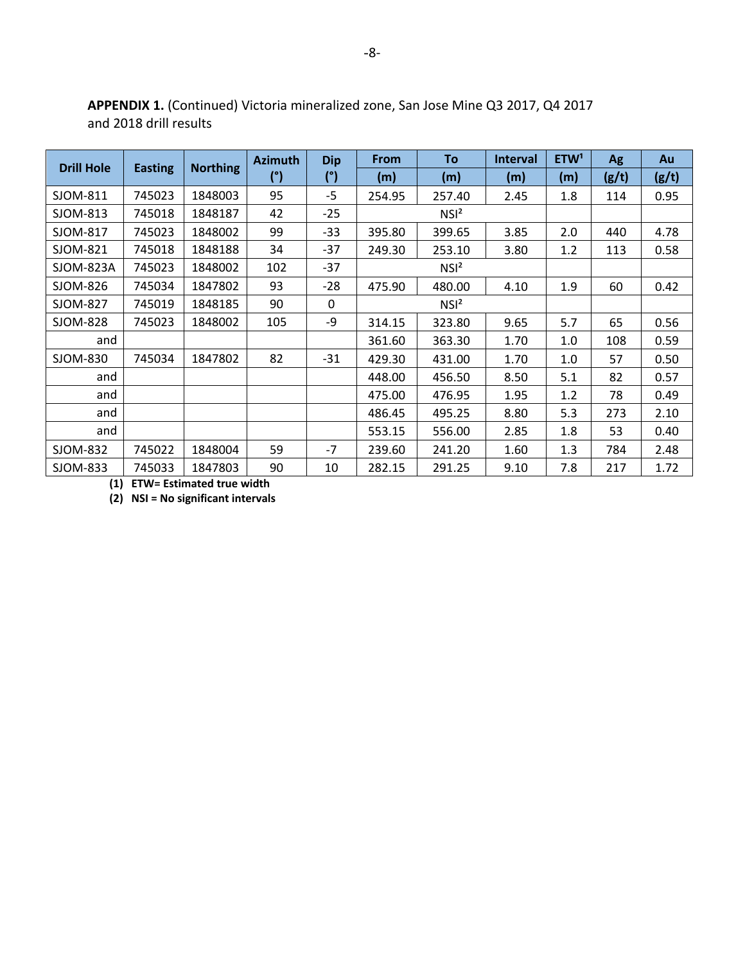|                   |                |                 | <b>Azimuth</b> | <b>Dip</b> | <b>From</b> | To               | <b>Interval</b> | ETW <sup>1</sup> | <b>Ag</b> | Au    |
|-------------------|----------------|-----------------|----------------|------------|-------------|------------------|-----------------|------------------|-----------|-------|
| <b>Drill Hole</b> | <b>Easting</b> | <b>Northing</b> | (°)            | (°)        | (m)         | (m)              | (m)             | (m)              | (g/t)     | (g/t) |
| SJOM-811          | 745023         | 1848003         | 95             | -5         | 254.95      | 257.40           | 2.45            | 1.8              | 114       | 0.95  |
| SJOM-813          | 745018         | 1848187         | 42             | $-25$      |             | NSI <sup>2</sup> |                 |                  |           |       |
| SJOM-817          | 745023         | 1848002         | 99             | $-33$      | 395.80      | 399.65           | 3.85            | 2.0              | 440       | 4.78  |
| SJOM-821          | 745018         | 1848188         | 34             | $-37$      | 249.30      | 253.10           | 3.80            | 1.2              | 113       | 0.58  |
| <b>SJOM-823A</b>  | 745023         | 1848002         | 102            | $-37$      |             | NSI <sup>2</sup> |                 |                  |           |       |
| SJOM-826          | 745034         | 1847802         | 93             | $-28$      | 475.90      | 480.00           | 4.10            | 1.9              | 60        | 0.42  |
| SJOM-827          | 745019         | 1848185         | 90             | 0          |             | NSI <sup>2</sup> |                 |                  |           |       |
| SJOM-828          | 745023         | 1848002         | 105            | -9         | 314.15      | 323.80           | 9.65            | 5.7              | 65        | 0.56  |
| and               |                |                 |                |            | 361.60      | 363.30           | 1.70            | 1.0              | 108       | 0.59  |
| SJOM-830          | 745034         | 1847802         | 82             | $-31$      | 429.30      | 431.00           | 1.70            | 1.0              | 57        | 0.50  |
| and               |                |                 |                |            | 448.00      | 456.50           | 8.50            | 5.1              | 82        | 0.57  |
| and               |                |                 |                |            | 475.00      | 476.95           | 1.95            | 1.2              | 78        | 0.49  |
| and               |                |                 |                |            | 486.45      | 495.25           | 8.80            | 5.3              | 273       | 2.10  |
| and               |                |                 |                |            | 553.15      | 556.00           | 2.85            | 1.8              | 53        | 0.40  |
| SJOM-832          | 745022         | 1848004         | 59             | $-7$       | 239.60      | 241.20           | 1.60            | 1.3              | 784       | 2.48  |
| SJOM-833          | 745033         | 1847803         | 90             | 10         | 282.15      | 291.25           | 9.10            | 7.8              | 217       | 1.72  |

**APPENDIX 1.** (Continued) Victoria mineralized zone, San Jose Mine Q3 2017, Q4 2017 and 2018 drill results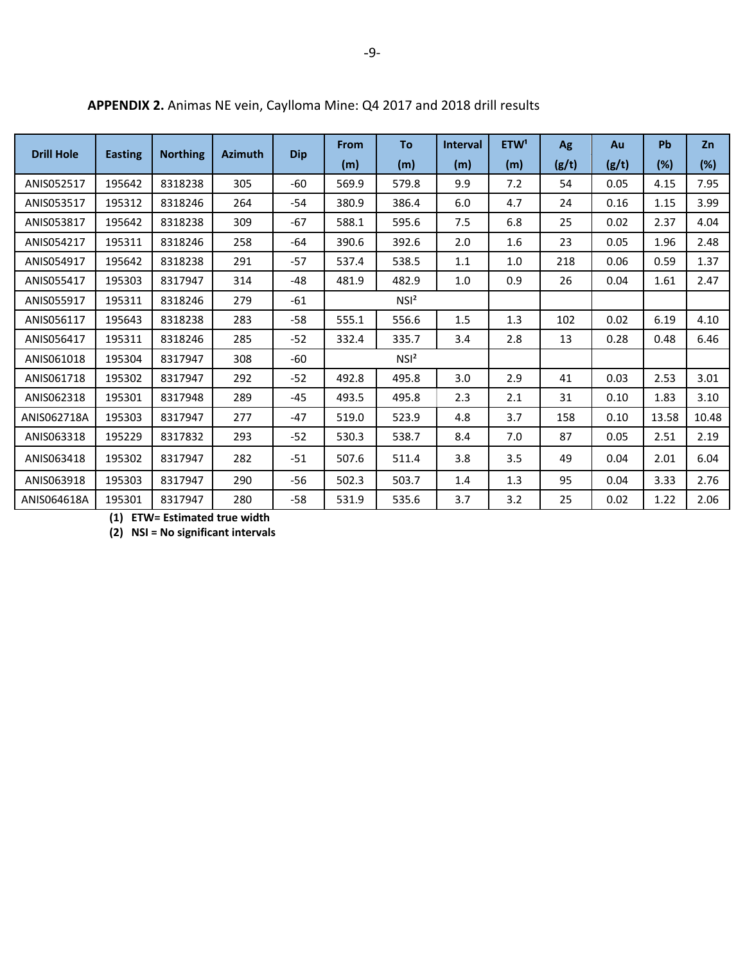| <b>Drill Hole</b> | <b>Easting</b> | <b>Northing</b> | <b>Azimuth</b> | <b>Dip</b> | From  | To               | <b>Interval</b> | ETW <sup>1</sup> | Ag    | Au    | Pb    | Zn    |
|-------------------|----------------|-----------------|----------------|------------|-------|------------------|-----------------|------------------|-------|-------|-------|-------|
|                   |                |                 |                |            | (m)   | (m)              | (m)             | (m)              | (g/t) | (g/t) | (%)   | (%)   |
| ANIS052517        | 195642         | 8318238         | 305            | $-60$      | 569.9 | 579.8            | 9.9             | 7.2              | 54    | 0.05  | 4.15  | 7.95  |
| ANIS053517        | 195312         | 8318246         | 264            | $-54$      | 380.9 | 386.4            | 6.0             | 4.7              | 24    | 0.16  | 1.15  | 3.99  |
| ANIS053817        | 195642         | 8318238         | 309            | $-67$      | 588.1 | 595.6            | 7.5             | 6.8              | 25    | 0.02  | 2.37  | 4.04  |
| ANIS054217        | 195311         | 8318246         | 258            | -64        | 390.6 | 392.6            | 2.0             | 1.6              | 23    | 0.05  | 1.96  | 2.48  |
| ANIS054917        | 195642         | 8318238         | 291            | $-57$      | 537.4 | 538.5            | 1.1             | 1.0              | 218   | 0.06  | 0.59  | 1.37  |
| ANIS055417        | 195303         | 8317947         | 314            | $-48$      | 481.9 | 482.9            | 1.0             | 0.9              | 26    | 0.04  | 1.61  | 2.47  |
| ANIS055917        | 195311         | 8318246         | 279            | $-61$      |       | NSI <sup>2</sup> |                 |                  |       |       |       |       |
| ANIS056117        | 195643         | 8318238         | 283            | $-58$      | 555.1 | 556.6            | 1.5             | 1.3              | 102   | 0.02  | 6.19  | 4.10  |
| ANIS056417        | 195311         | 8318246         | 285            | $-52$      | 332.4 | 335.7            | 3.4             | 2.8              | 13    | 0.28  | 0.48  | 6.46  |
| ANIS061018        | 195304         | 8317947         | 308            | $-60$      |       | NSI <sup>2</sup> |                 |                  |       |       |       |       |
| ANIS061718        | 195302         | 8317947         | 292            | $-52$      | 492.8 | 495.8            | 3.0             | 2.9              | 41    | 0.03  | 2.53  | 3.01  |
| ANIS062318        | 195301         | 8317948         | 289            | $-45$      | 493.5 | 495.8            | 2.3             | 2.1              | 31    | 0.10  | 1.83  | 3.10  |
| ANIS062718A       | 195303         | 8317947         | 277            | $-47$      | 519.0 | 523.9            | 4.8             | 3.7              | 158   | 0.10  | 13.58 | 10.48 |
| ANIS063318        | 195229         | 8317832         | 293            | $-52$      | 530.3 | 538.7            | 8.4             | 7.0              | 87    | 0.05  | 2.51  | 2.19  |
| ANIS063418        | 195302         | 8317947         | 282            | $-51$      | 507.6 | 511.4            | 3.8             | 3.5              | 49    | 0.04  | 2.01  | 6.04  |
| ANIS063918        | 195303         | 8317947         | 290            | $-56$      | 502.3 | 503.7            | 1.4             | 1.3              | 95    | 0.04  | 3.33  | 2.76  |
| ANIS064618A       | 195301         | 8317947         | 280            | $-58$      | 531.9 | 535.6            | 3.7             | 3.2              | 25    | 0.02  | 1.22  | 2.06  |

**APPENDIX 2.** Animas NE vein, Caylloma Mine: Q4 2017 and 2018 drill results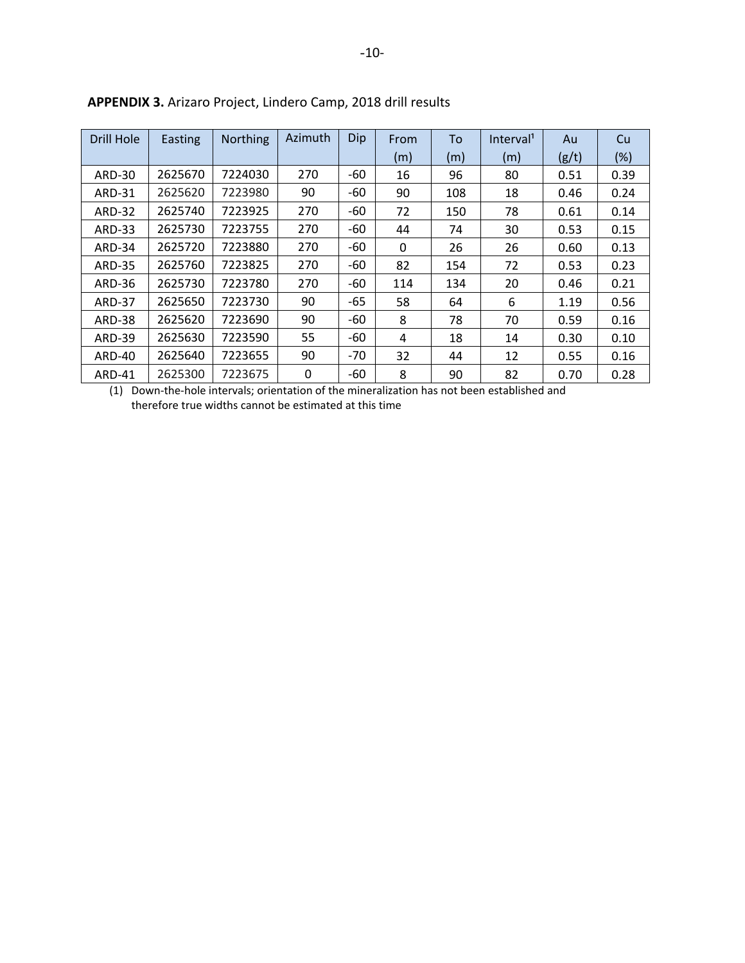| Drill Hole    | Easting | <b>Northing</b> | Azimuth | Dip   | From | To  | Interval <sup>1</sup> | Au    | Cu   |
|---------------|---------|-----------------|---------|-------|------|-----|-----------------------|-------|------|
|               |         |                 |         |       | (m)  | (m) | (m)                   | (g/t) | (%)  |
| <b>ARD-30</b> | 2625670 | 7224030         | 270     | -60   | 16   | 96  | 80                    | 0.51  | 0.39 |
| <b>ARD-31</b> | 2625620 | 7223980         | 90      | -60   | 90   | 108 | 18                    | 0.46  | 0.24 |
| <b>ARD-32</b> | 2625740 | 7223925         | 270     | -60   | 72   | 150 | 78                    | 0.61  | 0.14 |
| <b>ARD-33</b> | 2625730 | 7223755         | 270     | -60   | 44   | 74  | 30                    | 0.53  | 0.15 |
| ARD-34        | 2625720 | 7223880         | 270     | -60   | 0    | 26  | 26                    | 0.60  | 0.13 |
| <b>ARD-35</b> | 2625760 | 7223825         | 270     | -60   | 82   | 154 | 72                    | 0.53  | 0.23 |
| <b>ARD-36</b> | 2625730 | 7223780         | 270     | -60   | 114  | 134 | 20                    | 0.46  | 0.21 |
| ARD-37        | 2625650 | 7223730         | 90      | -65   | 58   | 64  | 6                     | 1.19  | 0.56 |
| <b>ARD-38</b> | 2625620 | 7223690         | 90      | -60   | 8    | 78  | 70                    | 0.59  | 0.16 |
| <b>ARD-39</b> | 2625630 | 7223590         | 55      | -60   | 4    | 18  | 14                    | 0.30  | 0.10 |
| ARD-40        | 2625640 | 7223655         | 90      | $-70$ | 32   | 44  | 12                    | 0.55  | 0.16 |
| <b>ARD-41</b> | 2625300 | 7223675         | 0       | -60   | 8    | 90  | 82                    | 0.70  | 0.28 |

**APPENDIX 3.** Arizaro Project, Lindero Camp, 2018 drill results

(1) Down-the-hole intervals; orientation of the mineralization has not been established and therefore true widths cannot be estimated at this time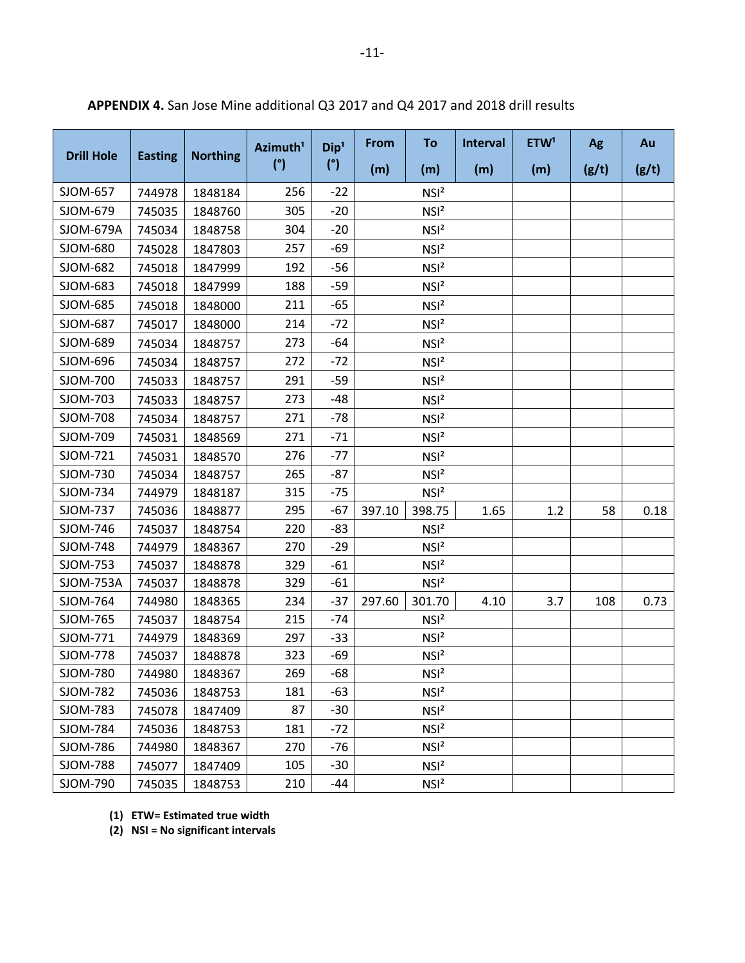|                   |                |                 | Azimuth <sup>1</sup> | Dip <sup>1</sup> | From   | To               | <b>Interval</b> | ETW <sup>1</sup> | Ag    | Au    |
|-------------------|----------------|-----------------|----------------------|------------------|--------|------------------|-----------------|------------------|-------|-------|
| <b>Drill Hole</b> | <b>Easting</b> | <b>Northing</b> | (°)                  | (°)              | (m)    | (m)              | (m)             | (m)              | (g/t) | (g/t) |
| SJOM-657          | 744978         | 1848184         | 256                  | $-22$            |        | NSI <sup>2</sup> |                 |                  |       |       |
| SJOM-679          | 745035         | 1848760         | 305                  | $-20$            |        | NSI <sup>2</sup> |                 |                  |       |       |
| SJOM-679A         | 745034         | 1848758         | 304                  | $-20$            |        | NSI <sup>2</sup> |                 |                  |       |       |
| SJOM-680          | 745028         | 1847803         | 257                  | -69              |        | NSI <sup>2</sup> |                 |                  |       |       |
| SJOM-682          | 745018         | 1847999         | 192                  | $-56$            |        | NSI <sup>2</sup> |                 |                  |       |       |
| SJOM-683          | 745018         | 1847999         | 188                  | $-59$            |        | NSI <sup>2</sup> |                 |                  |       |       |
| SJOM-685          | 745018         | 1848000         | 211                  | -65              |        | NSI <sup>2</sup> |                 |                  |       |       |
| SJOM-687          | 745017         | 1848000         | 214                  | $-72$            |        | NSI <sup>2</sup> |                 |                  |       |       |
| SJOM-689          | 745034         | 1848757         | 273                  | $-64$            |        | NSI <sup>2</sup> |                 |                  |       |       |
| SJOM-696          | 745034         | 1848757         | 272                  | $-72$            |        | NSI <sup>2</sup> |                 |                  |       |       |
| SJOM-700          | 745033         | 1848757         | 291                  | $-59$            |        | NSI <sup>2</sup> |                 |                  |       |       |
| SJOM-703          | 745033         | 1848757         | 273                  | $-48$            |        | NSI <sup>2</sup> |                 |                  |       |       |
| SJOM-708          | 745034         | 1848757         | 271                  | $-78$            |        | NSI <sup>2</sup> |                 |                  |       |       |
| SJOM-709          | 745031         | 1848569         | 271                  | $-71$            |        | NSI <sup>2</sup> |                 |                  |       |       |
| SJOM-721          | 745031         | 1848570         | 276                  | $-77$            |        | NSI <sup>2</sup> |                 |                  |       |       |
| SJOM-730          | 745034         | 1848757         | 265                  | $-87$            |        | NSI <sup>2</sup> |                 |                  |       |       |
| SJOM-734          | 744979         | 1848187         | 315                  | $-75$            |        | NSI <sup>2</sup> |                 |                  |       |       |
| SJOM-737          | 745036         | 1848877         | 295                  | $-67$            | 397.10 | 398.75           | 1.65            | 1.2              | 58    | 0.18  |
| SJOM-746          | 745037         | 1848754         | 220                  | $-83$            |        | NSI <sup>2</sup> |                 |                  |       |       |
| SJOM-748          | 744979         | 1848367         | 270                  | $-29$            |        | NSI <sup>2</sup> |                 |                  |       |       |
| SJOM-753          | 745037         | 1848878         | 329                  | $-61$            |        | NSI <sup>2</sup> |                 |                  |       |       |
| <b>SJOM-753A</b>  | 745037         | 1848878         | 329                  | $-61$            |        | NSI <sup>2</sup> |                 |                  |       |       |
| SJOM-764          | 744980         | 1848365         | 234                  | $-37$            | 297.60 | 301.70           | 4.10            | 3.7              | 108   | 0.73  |
| SJOM-765          | 745037         | 1848754         | 215                  | $-74$            |        | NSI <sup>2</sup> |                 |                  |       |       |
| SJOM-771          | 744979         | 1848369         | 297                  | $-33$            |        | NSI <sup>2</sup> |                 |                  |       |       |
| SJOM-778          | 745037         | 1848878         | 323                  | $-69$            |        | NSI <sup>2</sup> |                 |                  |       |       |
| SJOM-780          | 744980         | 1848367         | 269                  | $-68$            |        | NSI <sup>2</sup> |                 |                  |       |       |
| <b>SJOM-782</b>   | 745036         | 1848753         | 181                  | -63              |        | NSI <sup>2</sup> |                 |                  |       |       |
| SJOM-783          | 745078         | 1847409         | 87                   | $-30$            |        | NSI <sup>2</sup> |                 |                  |       |       |
| SJOM-784          | 745036         | 1848753         | 181                  | $-72$            |        | NSI <sup>2</sup> |                 |                  |       |       |
| SJOM-786          | 744980         | 1848367         | 270                  | -76              |        | NSI <sup>2</sup> |                 |                  |       |       |
| <b>SJOM-788</b>   | 745077         | 1847409         | 105                  | $-30$            |        | NSI <sup>2</sup> |                 |                  |       |       |
| SJOM-790          | 745035         | 1848753         | 210                  | -44              |        | NSI <sup>2</sup> |                 |                  |       |       |

**APPENDIX 4.** San Jose Mine additional Q3 2017 and Q4 2017 and 2018 drill results

**(1) ETW= Estimated true width**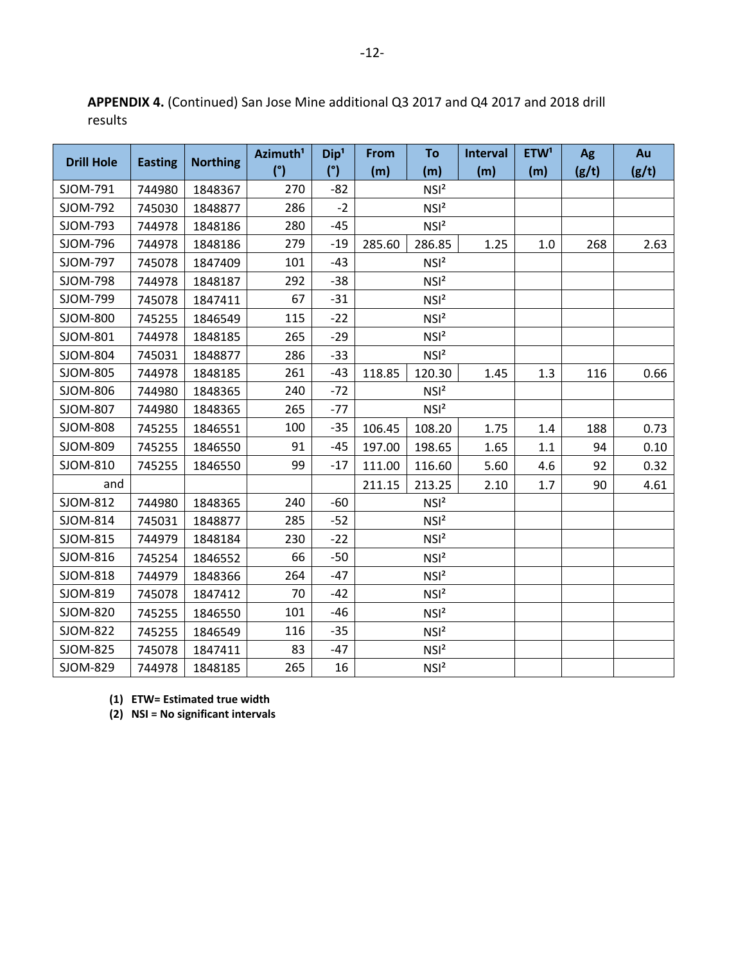| <b>Drill Hole</b> | <b>Easting</b> | <b>Northing</b> | Azimuth <sup>1</sup> | Dip <sup>1</sup> | From   | To               | Interval | ETW <sup>1</sup> | Ag    | Au    |
|-------------------|----------------|-----------------|----------------------|------------------|--------|------------------|----------|------------------|-------|-------|
|                   |                |                 | (°)                  | (°)              | (m)    | (m)              | (m)      | (m)              | (g/t) | (g/t) |
| SJOM-791          | 744980         | 1848367         | 270                  | $-82$            |        | NSI <sup>2</sup> |          |                  |       |       |
| SJOM-792          | 745030         | 1848877         | 286                  | $-2$             |        | NSI <sup>2</sup> |          |                  |       |       |
| SJOM-793          | 744978         | 1848186         | 280                  | -45              |        | NSI <sup>2</sup> |          |                  |       |       |
| SJOM-796          | 744978         | 1848186         | 279                  | $-19$            | 285.60 | 286.85           | 1.25     | 1.0              | 268   | 2.63  |
| SJOM-797          | 745078         | 1847409         | 101                  | $-43$            |        | NSI <sup>2</sup> |          |                  |       |       |
| SJOM-798          | 744978         | 1848187         | 292                  | $-38$            |        | NSI <sup>2</sup> |          |                  |       |       |
| SJOM-799          | 745078         | 1847411         | 67                   | $-31$            |        | NSI <sup>2</sup> |          |                  |       |       |
| SJOM-800          | 745255         | 1846549         | 115                  | $-22$            |        | NSI <sup>2</sup> |          |                  |       |       |
| SJOM-801          | 744978         | 1848185         | 265                  | $-29$            |        | NSI <sup>2</sup> |          |                  |       |       |
| SJOM-804          | 745031         | 1848877         | 286                  | $-33$            |        | NSI <sup>2</sup> |          |                  |       |       |
| SJOM-805          | 744978         | 1848185         | 261                  | $-43$            | 118.85 | 120.30           | 1.45     | 1.3              | 116   | 0.66  |
| SJOM-806          | 744980         | 1848365         | 240                  | $-72$            |        | NSI <sup>2</sup> |          |                  |       |       |
| SJOM-807          | 744980         | 1848365         | 265                  | $-77$            |        | NSI <sup>2</sup> |          |                  |       |       |
| SJOM-808          | 745255         | 1846551         | 100                  | $-35$            | 106.45 | 108.20           | 1.75     | 1.4              | 188   | 0.73  |
| SJOM-809          | 745255         | 1846550         | 91                   | $-45$            | 197.00 | 198.65           | 1.65     | 1.1              | 94    | 0.10  |
| SJOM-810          | 745255         | 1846550         | 99                   | $-17$            | 111.00 | 116.60           | 5.60     | 4.6              | 92    | 0.32  |
| and               |                |                 |                      |                  | 211.15 | 213.25           | 2.10     | 1.7              | 90    | 4.61  |
| SJOM-812          | 744980         | 1848365         | 240                  | -60              |        | NSI <sup>2</sup> |          |                  |       |       |
| SJOM-814          | 745031         | 1848877         | 285                  | $-52$            |        | NSI <sup>2</sup> |          |                  |       |       |
| SJOM-815          | 744979         | 1848184         | 230                  | $-22$            |        | NSI <sup>2</sup> |          |                  |       |       |
| SJOM-816          | 745254         | 1846552         | 66                   | -50              |        | NSI <sup>2</sup> |          |                  |       |       |
| SJOM-818          | 744979         | 1848366         | 264                  | $-47$            |        | NSI <sup>2</sup> |          |                  |       |       |
| SJOM-819          | 745078         | 1847412         | 70                   | -42              |        | NSI <sup>2</sup> |          |                  |       |       |
| SJOM-820          | 745255         | 1846550         | 101                  | $-46$            |        | NSI <sup>2</sup> |          |                  |       |       |
| SJOM-822          | 745255         | 1846549         | 116                  | $-35$            |        | NSI <sup>2</sup> |          |                  |       |       |
| SJOM-825          | 745078         | 1847411         | 83                   | $-47$            |        | NSI <sup>2</sup> |          |                  |       |       |
| SJOM-829          | 744978         | 1848185         | 265                  | 16               |        | NSI <sup>2</sup> |          |                  |       |       |

**APPENDIX 4.** (Continued) San Jose Mine additional Q3 2017 and Q4 2017 and 2018 drill results